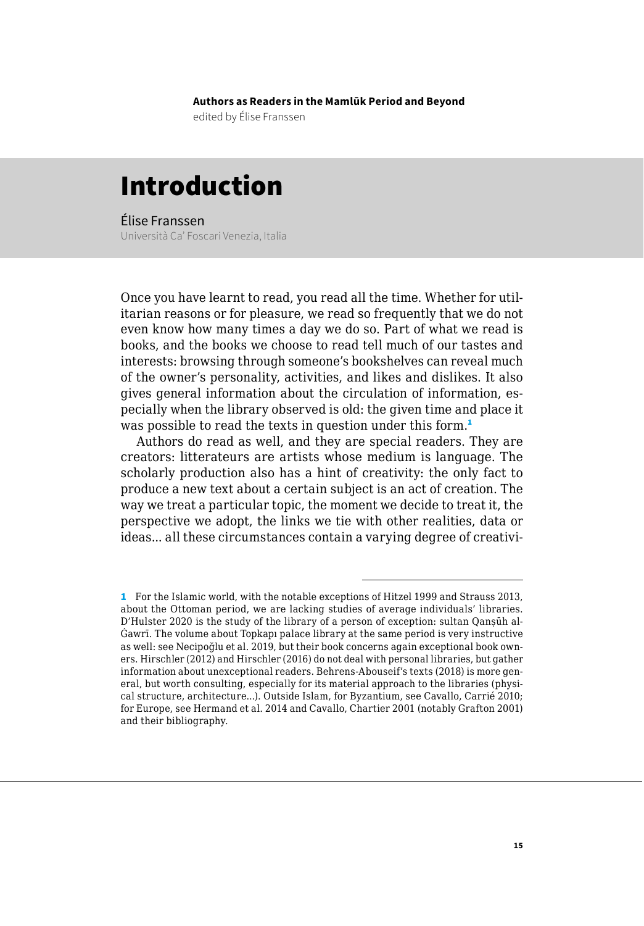**Authors as Readers in the Mamlūk Period and Beyond**

edited by Élise Franssen

## Introduction

Élise Franssen Università Ca' Foscari Venezia, Italia

Once you have learnt to read, you read all the time. Whether for utilitarian reasons or for pleasure, we read so frequently that we do not even know how many times a day we do so. Part of what we read is books, and the books we choose to read tell much of our tastes and interests: browsing through someone's bookshelves can reveal much of the owner's personality, activities, and likes and dislikes. It also gives general information about the circulation of information, especially when the library observed is old: the given time and place it was possible to read the texts in question under this form.<sup>1</sup>

Authors do read as well, and they are special readers. They are creators: litterateurs are artists whose medium is language. The scholarly production also has a hint of creativity: the only fact to produce a new text about a certain subject is an act of creation. The way we treat a particular topic, the moment we decide to treat it, the perspective we adopt, the links we tie with other realities, data or ideas... all these circumstances contain a varying degree of creativi-

<sup>1</sup> For the Islamic world, with the notable exceptions of Hitzel 1999 and Strauss 2013, about the Ottoman period, we are lacking studies of average individuals' libraries. D'Hulster 2020 is the study of the library of a person of exception: sultan Qanṣūh al-Ġawrī. The volume about Topkapı palace library at the same period is very instructive as well: see Necipoğlu et al. 2019, but their book concerns again exceptional book owners. Hirschler (2012) and Hirschler (2016) do not deal with personal libraries, but gather information about unexceptional readers. Behrens-Abouseif's texts (2018) is more general, but worth consulting, especially for its material approach to the libraries (physical structure, architecture...). Outside Islam, for Byzantium, see Cavallo, Carrié 2010; for Europe, see Hermand et al. 2014 and Cavallo, Chartier 2001 (notably Grafton 2001) and their bibliography.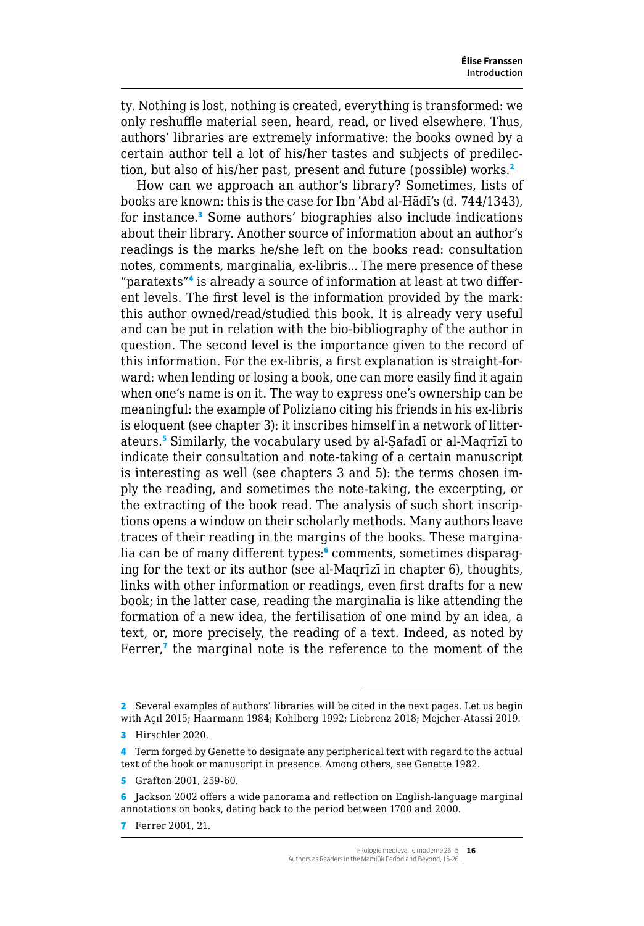ty. Nothing is lost, nothing is created, everything is transformed: we only reshuffle material seen, heard, read, or lived elsewhere. Thus, authors' libraries are extremely informative: the books owned by a certain author tell a lot of his/her tastes and subjects of predilection, but also of his/her past, present and future (possible) works.<sup>2</sup>

How can we approach an author's library? Sometimes, lists of books are known: this is the case for Ibn ʿAbd al-Hādī's (d. 744/1343), for instance.<sup>3</sup> Some authors' biographies also include indications about their library. Another source of information about an author's readings is the marks he/she left on the books read: consultation notes, comments, marginalia, ex-libris... The mere presence of these "paratexts"<sup>4</sup> is already a source of information at least at two different levels. The first level is the information provided by the mark: this author owned/read/studied this book. It is already very useful and can be put in relation with the bio-bibliography of the author in question. The second level is the importance given to the record of this information. For the ex-libris, a first explanation is straight-forward: when lending or losing a book, one can more easily find it again when one's name is on it. The way to express one's ownership can be meaningful: the example of Poliziano citing his friends in his ex-libris is eloquent (see chapter 3): it inscribes himself in a network of litterateurs.<sup>5</sup> Similarly, the vocabulary used by al-Ṣafadī or al-Maqrīzī to indicate their consultation and note-taking of a certain manuscript is interesting as well (see chapters 3 and 5): the terms chosen imply the reading, and sometimes the note-taking, the excerpting, or the extracting of the book read. The analysis of such short inscriptions opens a window on their scholarly methods. Many authors leave traces of their reading in the margins of the books. These marginalia can be of many different types:<sup>6</sup> comments, sometimes disparaging for the text or its author (see al-Maqrīzī in chapter 6), thoughts, links with other information or readings, even first drafts for a new book; in the latter case, reading the marginalia is like attending the formation of a new idea, the fertilisation of one mind by an idea, a text, or, more precisely, the reading of a text. Indeed, as noted by Ferrer,<sup>7</sup> the marginal note is the reference to the moment of the

<sup>2</sup> Several examples of authors' libraries will be cited in the next pages. Let us begin with Açıl 2015; Haarmann 1984; Kohlberg 1992; Liebrenz 2018; Mejcher-Atassi 2019.

<sup>3</sup> Hirschler 2020.

<sup>4</sup> Term forged by Genette to designate any peripherical text with regard to the actual text of the book or manuscript in presence. Among others, see Genette 1982.

<sup>5</sup> Grafton 2001, 259-60.

<sup>6</sup> Jackson 2002 offers a wide panorama and reflection on English-language marginal annotations on books, dating back to the period between 1700 and 2000.

<sup>7</sup> Ferrer 2001, 21.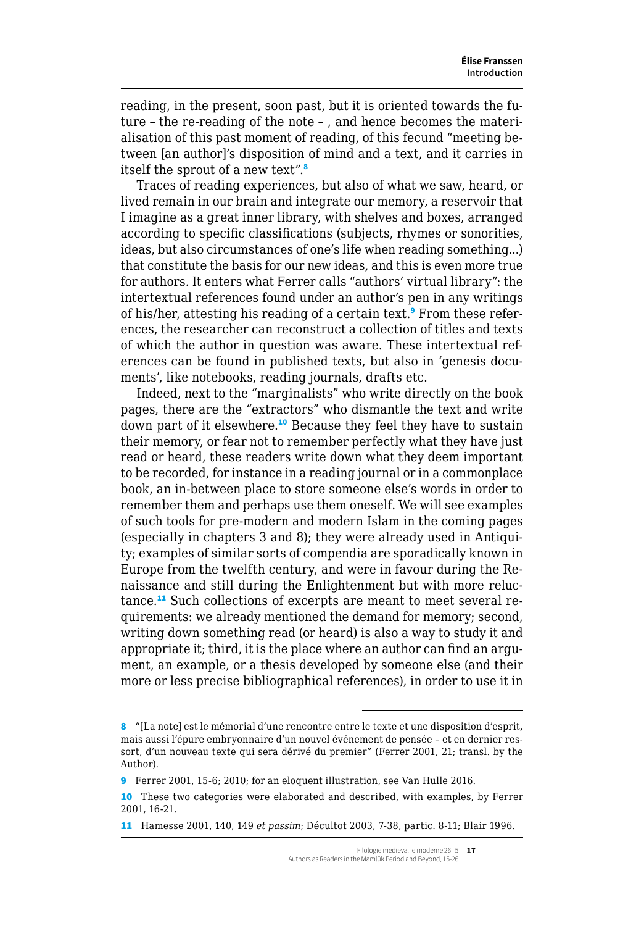reading, in the present, soon past, but it is oriented towards the future – the re-reading of the note – , and hence becomes the materialisation of this past moment of reading, of this fecund "meeting between [an author]'s disposition of mind and a text, and it carries in itself the sprout of a new text".<sup>8</sup>

Traces of reading experiences, but also of what we saw, heard, or lived remain in our brain and integrate our memory, a reservoir that I imagine as a great inner library, with shelves and boxes, arranged according to specific classifications (subjects, rhymes or sonorities, ideas, but also circumstances of one's life when reading something...) that constitute the basis for our new ideas, and this is even more true for authors. It enters what Ferrer calls "authors' virtual library": the intertextual references found under an author's pen in any writings of his/her, attesting his reading of a certain text.<sup>9</sup> From these references, the researcher can reconstruct a collection of titles and texts of which the author in question was aware. These intertextual references can be found in published texts, but also in 'genesis documents', like notebooks, reading journals, drafts etc.

Indeed, next to the "marginalists" who write directly on the book pages, there are the "extractors" who dismantle the text and write down part of it elsewhere.<sup>10</sup> Because they feel they have to sustain their memory, or fear not to remember perfectly what they have just read or heard, these readers write down what they deem important to be recorded, for instance in a reading journal or in a commonplace book, an in-between place to store someone else's words in order to remember them and perhaps use them oneself. We will see examples of such tools for pre-modern and modern Islam in the coming pages (especially in chapters 3 and 8); they were already used in Antiquity; examples of similar sorts of compendia are sporadically known in Europe from the twelfth century, and were in favour during the Renaissance and still during the Enlightenment but with more reluctance.11 Such collections of excerpts are meant to meet several requirements: we already mentioned the demand for memory; second, writing down something read (or heard) is also a way to study it and appropriate it; third, it is the place where an author can find an argument, an example, or a thesis developed by someone else (and their more or less precise bibliographical references), in order to use it in

<sup>8</sup> "[La note] est le mémorial d'une rencontre entre le texte et une disposition d'esprit, mais aussi l'épure embryonnaire d'un nouvel événement de pensée – et en dernier ressort, d'un nouveau texte qui sera dérivé du premier" (Ferrer 2001, 21; transl. by the Author).

<sup>9</sup> Ferrer 2001, 15-6; 2010; for an eloquent illustration, see Van Hulle 2016.

<sup>10</sup> These two categories were elaborated and described, with examples, by Ferrer 2001, 16-21.

<sup>11</sup> Hamesse 2001, 140, 149 *et passim*; Décultot 2003, 7-38, partic. 8-11; Blair 1996.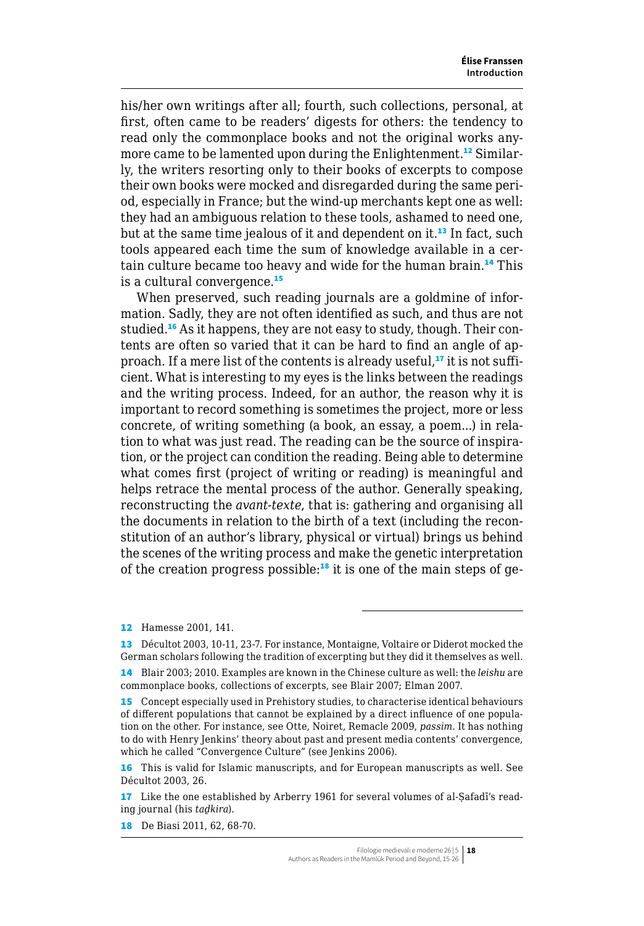his/her own writings after all; fourth, such collections, personal, at first, often came to be readers' digests for others: the tendency to read only the commonplace books and not the original works anymore came to be lamented upon during the Enlightenment.<sup>12</sup> Similarly, the writers resorting only to their books of excerpts to compose their own books were mocked and disregarded during the same period, especially in France; but the wind-up merchants kept one as well: they had an ambiguous relation to these tools, ashamed to need one, but at the same time jealous of it and dependent on it.<sup>13</sup> In fact, such tools appeared each time the sum of knowledge available in a certain culture became too heavy and wide for the human brain.<sup>14</sup> This is a cultural convergence.<sup>15</sup>

When preserved, such reading journals are a goldmine of information. Sadly, they are not often identified as such, and thus are not studied.<sup>16</sup> As it happens, they are not easy to study, though. Their contents are often so varied that it can be hard to find an angle of approach. If a mere list of the contents is already useful,<sup>17</sup> it is not sufficient. What is interesting to my eyes is the links between the readings and the writing process. Indeed, for an author, the reason why it is important to record something is sometimes the project, more or less concrete, of writing something (a book, an essay, a poem...) in relation to what was just read. The reading can be the source of inspiration, or the project can condition the reading. Being able to determine what comes first (project of writing or reading) is meaningful and helps retrace the mental process of the author. Generally speaking, reconstructing the *avant-texte*, that is: gathering and organising all the documents in relation to the birth of a text (including the reconstitution of an author's library, physical or virtual) brings us behind the scenes of the writing process and make the genetic interpretation of the creation progress possible:<sup>18</sup> it is one of the main steps of ge-

12 Hamesse 2001, 141.

<sup>13</sup> Décultot 2003, 10-11, 23-7. For instance, Montaigne, Voltaire or Diderot mocked the German scholars following the tradition of excerpting but they did it themselves as well.

<sup>14</sup> Blair 2003; 2010. Examples are known in the Chinese culture as well: the *leishu* are commonplace books, collections of excerpts, see Blair 2007; Elman 2007.

<sup>15</sup> Concept especially used in Prehistory studies, to characterise identical behaviours of different populations that cannot be explained by a direct influence of one population on the other. For instance, see Otte, Noiret, Remacle 2009, *passim*. It has nothing to do with Henry Jenkins' theory about past and present media contents' convergence, which he called "Convergence Culture" (see Jenkins 2006).

<sup>16</sup> This is valid for Islamic manuscripts, and for European manuscripts as well. See Décultot 2003, 26.

<sup>17</sup> Like the one established by Arberry 1961 for several volumes of al-Safadī's reading journal (his *taḏkira*).

<sup>18</sup> De Biasi 2011, 62, 68-70.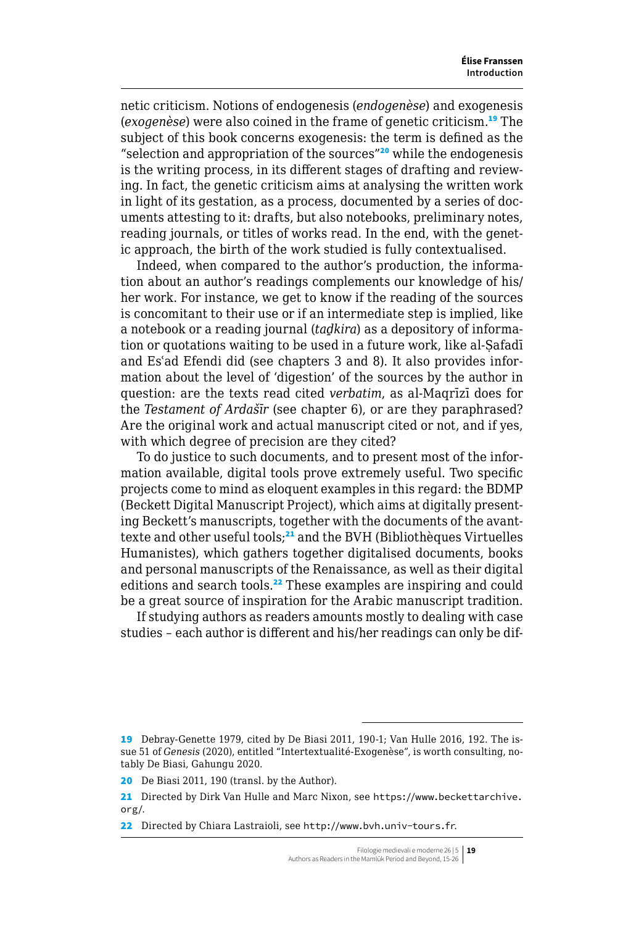netic criticism. Notions of endogenesis (*endogenèse*) and exogenesis (*exogenèse*) were also coined in the frame of genetic criticism.<sup>19</sup> The subject of this book concerns exogenesis: the term is defined as the "selection and appropriation of the sources"<sup>20</sup> while the endogenesis is the writing process, in its different stages of drafting and reviewing. In fact, the genetic criticism aims at analysing the written work in light of its gestation, as a process, documented by a series of documents attesting to it: drafts, but also notebooks, preliminary notes, reading journals, or titles of works read. In the end, with the genetic approach, the birth of the work studied is fully contextualised.

Indeed, when compared to the author's production, the information about an author's readings complements our knowledge of his/ her work. For instance, we get to know if the reading of the sources is concomitant to their use or if an intermediate step is implied, like a notebook or a reading journal (*taḏkira*) as a depository of information or quotations waiting to be used in a future work, like al-Ṣafadī and Esʿad Efendi did (see chapters 3 and 8). It also provides information about the level of 'digestion' of the sources by the author in question: are the texts read cited *verbatim*, as al-Maqrīzī does for the *Testament of Ardašīr* (see chapter 6), or are they paraphrased? Are the original work and actual manuscript cited or not, and if yes, with which degree of precision are they cited?

To do justice to such documents, and to present most of the information available, digital tools prove extremely useful. Two specific projects come to mind as eloquent examples in this regard: the BDMP (Beckett Digital Manuscript Project), which aims at digitally presenting Beckett's manuscripts, together with the documents of the avanttexte and other useful tools;<sup>21</sup> and the BVH (Bibliothèques Virtuelles Humanistes), which gathers together digitalised documents, books and personal manuscripts of the Renaissance, as well as their digital editions and search tools.<sup>22</sup> These examples are inspiring and could be a great source of inspiration for the Arabic manuscript tradition.

If studying authors as readers amounts mostly to dealing with case studies – each author is different and his/her readings can only be dif-

<sup>19</sup> Debray-Genette 1979, cited by De Biasi 2011, 190-1; Van Hulle 2016, 192. The issue 51 of *Genesis* (2020), entitled "Intertextualité-Exogenèse", is worth consulting, notably De Biasi, Gahungu 2020.

<sup>20</sup> De Biasi 2011, 190 (transl. by the Author).

<sup>21</sup> Directed by Dirk Van Hulle and Marc Nixon, see [https://www.beckettarchive.](https://www.beckettarchive.org/) [org/](https://www.beckettarchive.org/).

<sup>22</sup> Directed by Chiara Lastraioli, see <http://www.bvh.univ-tours.fr>.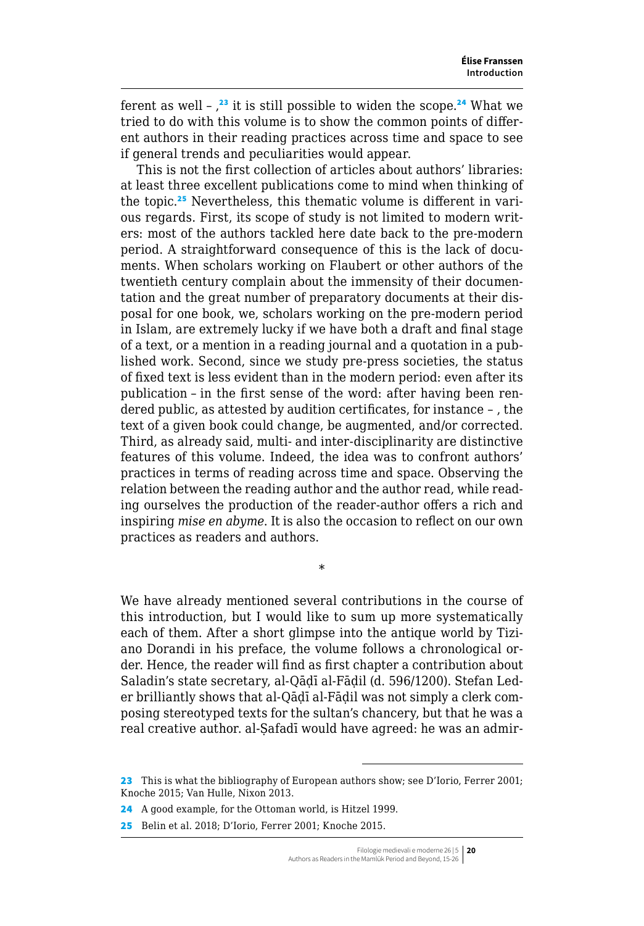ferent as well  $\frac{1}{2}$  it is still possible to widen the scope.<sup>24</sup> What we tried to do with this volume is to show the common points of different authors in their reading practices across time and space to see if general trends and peculiarities would appear.

This is not the first collection of articles about authors' libraries: at least three excellent publications come to mind when thinking of the topic.25 Nevertheless, this thematic volume is different in various regards. First, its scope of study is not limited to modern writers: most of the authors tackled here date back to the pre-modern period. A straightforward consequence of this is the lack of documents. When scholars working on Flaubert or other authors of the twentieth century complain about the immensity of their documentation and the great number of preparatory documents at their disposal for one book, we, scholars working on the pre-modern period in Islam, are extremely lucky if we have both a draft and final stage of a text, or a mention in a reading journal and a quotation in a published work. Second, since we study pre-press societies, the status of fixed text is less evident than in the modern period: even after its publication – in the first sense of the word: after having been rendered public, as attested by audition certificates, for instance – , the text of a given book could change, be augmented, and/or corrected. Third, as already said, multi- and inter-disciplinarity are distinctive features of this volume. Indeed, the idea was to confront authors' practices in terms of reading across time and space. Observing the relation between the reading author and the author read, while reading ourselves the production of the reader-author offers a rich and inspiring *mise en abyme*. It is also the occasion to reflect on our own practices as readers and authors.

We have already mentioned several contributions in the course of this introduction, but I would like to sum up more systematically each of them. After a short glimpse into the antique world by Tiziano Dorandi in his preface, the volume follows a chronological order. Hence, the reader will find as first chapter a contribution about Saladin's state secretary, al-Qāḍī al-Fāḍil (d. 596/1200). Stefan Leder brilliantly shows that al-Qāḍī al-Fāḍil was not simply a clerk composing stereotyped texts for the sultan's chancery, but that he was a real creative author. al-Safadī would have agreed: he was an admir-

\*

<sup>23</sup> This is what the bibliography of European authors show; see D'Iorio, Ferrer 2001; Knoche 2015; Van Hulle, Nixon 2013.

<sup>24</sup> A good example, for the Ottoman world, is Hitzel 1999.

<sup>25</sup> Belin et al. 2018; D'Iorio, Ferrer 2001; Knoche 2015.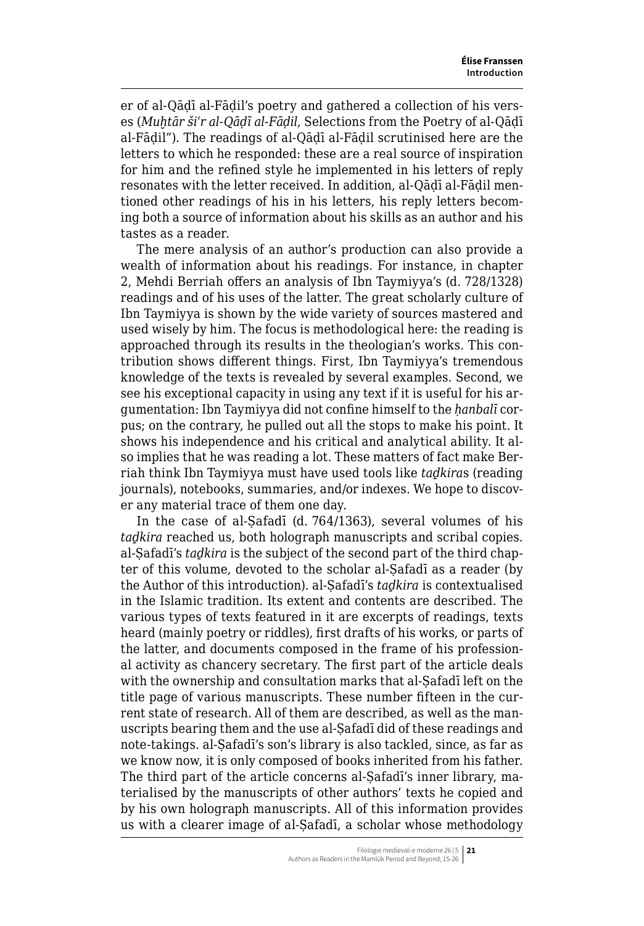er of al-Qāḍī al-Fāḍil's poetry and gathered a collection of his verses (*Muḫtār šiʿr al-Qāḍī al-Fāḍil*, Selections from the Poetry of al-Qāḍī al-Fāḍil"). The readings of al-Qāḍī al-Fāḍil scrutinised here are the letters to which he responded: these are a real source of inspiration for him and the refined style he implemented in his letters of reply resonates with the letter received. In addition, al-Qāḍī al-Fāḍil mentioned other readings of his in his letters, his reply letters becoming both a source of information about his skills as an author and his tastes as a reader.

The mere analysis of an author's production can also provide a wealth of information about his readings. For instance, in chapter 2, Mehdi Berriah offers an analysis of Ibn Taymiyya's (d. 728/1328) readings and of his uses of the latter. The great scholarly culture of Ibn Taymiyya is shown by the wide variety of sources mastered and used wisely by him. The focus is methodological here: the reading is approached through its results in the theologian's works. This contribution shows different things. First, Ibn Taymiyya's tremendous knowledge of the texts is revealed by several examples. Second, we see his exceptional capacity in using any text if it is useful for his argumentation: Ibn Taymiyya did not confine himself to the *ḥanbalī* corpus; on the contrary, he pulled out all the stops to make his point. It shows his independence and his critical and analytical ability. It also implies that he was reading a lot. These matters of fact make Berriah think Ibn Taymiyya must have used tools like *taḏkira*s (reading journals), notebooks, summaries, and/or indexes. We hope to discover any material trace of them one day.

In the case of al-Ṣafadī (d. 764/1363), several volumes of his *taḏkira* reached us, both holograph manuscripts and scribal copies. al-Ṣafadī's *taḏkira* is the subject of the second part of the third chapter of this volume, devoted to the scholar al-Ṣafadī as a reader (by the Author of this introduction). al-Ṣafadī's *taḏkira* is contextualised in the Islamic tradition. Its extent and contents are described. The various types of texts featured in it are excerpts of readings, texts heard (mainly poetry or riddles), first drafts of his works, or parts of the latter, and documents composed in the frame of his professional activity as chancery secretary. The first part of the article deals with the ownership and consultation marks that al-Safadī left on the title page of various manuscripts. These number fifteen in the current state of research. All of them are described, as well as the manuscripts bearing them and the use al-Ṣafadī did of these readings and note-takings. al-Ṣafadī's son's library is also tackled, since, as far as we know now, it is only composed of books inherited from his father. The third part of the article concerns al-Safadī's inner library, materialised by the manuscripts of other authors' texts he copied and by his own holograph manuscripts. All of this information provides us with a clearer image of al-Ṣafadī, a scholar whose methodology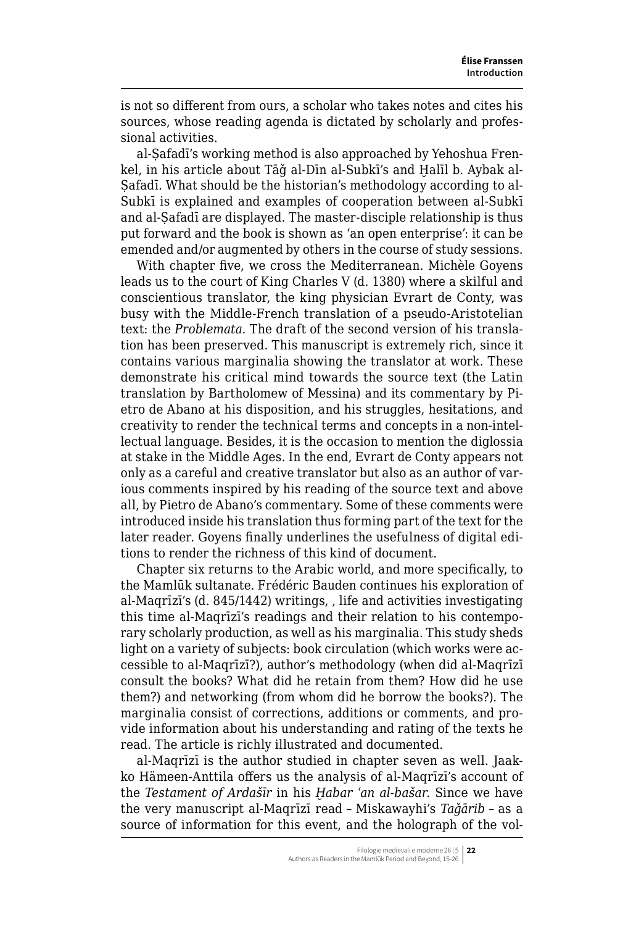is not so different from ours, a scholar who takes notes and cites his sources, whose reading agenda is dictated by scholarly and professional activities.

al-Ṣafadī's working method is also approached by Yehoshua Frenkel, in his article about Tāǧ al-Dīn al-Subkī's and Ḫalīl b. Aybak al-Safadī. What should be the historian's methodology according to al-Subkī is explained and examples of cooperation between al-Subkī and al-Ṣafadī are displayed. The master-disciple relationship is thus put forward and the book is shown as 'an open enterprise': it can be emended and/or augmented by others in the course of study sessions.

With chapter five, we cross the Mediterranean. Michèle Goyens leads us to the court of King Charles V (d. 1380) where a skilful and conscientious translator, the king physician Evrart de Conty, was busy with the Middle-French translation of a pseudo-Aristotelian text: the *Problemata*. The draft of the second version of his translation has been preserved. This manuscript is extremely rich, since it contains various marginalia showing the translator at work. These demonstrate his critical mind towards the source text (the Latin translation by Bartholomew of Messina) and its commentary by Pietro de Abano at his disposition, and his struggles, hesitations, and creativity to render the technical terms and concepts in a non-intellectual language. Besides, it is the occasion to mention the diglossia at stake in the Middle Ages. In the end, Evrart de Conty appears not only as a careful and creative translator but also as an author of various comments inspired by his reading of the source text and above all, by Pietro de Abano's commentary. Some of these comments were introduced inside his translation thus forming part of the text for the later reader. Goyens finally underlines the usefulness of digital editions to render the richness of this kind of document.

Chapter six returns to the Arabic world, and more specifically, to the Mamlūk sultanate. Frédéric Bauden continues his exploration of al-Maqrīzī's (d. 845/1442) writings, , life and activities investigating this time al-Maqrīzī's readings and their relation to his contemporary scholarly production, as well as his marginalia. This study sheds light on a variety of subjects: book circulation (which works were accessible to al-Maqrīzī?), author's methodology (when did al-Maqrīzī consult the books? What did he retain from them? How did he use them?) and networking (from whom did he borrow the books?). The marginalia consist of corrections, additions or comments, and provide information about his understanding and rating of the texts he read. The article is richly illustrated and documented.

al-Maqrīzī is the author studied in chapter seven as well. Jaakko Hämeen-Anttila offers us the analysis of al-Maqrīzī's account of the *Testament of Ardašīr* in his *Ḫabar ʿan al-bašar*. Since we have the very manuscript al-Maqrīzī read – Miskawayhi's *Taǧārib* – as a source of information for this event, and the holograph of the vol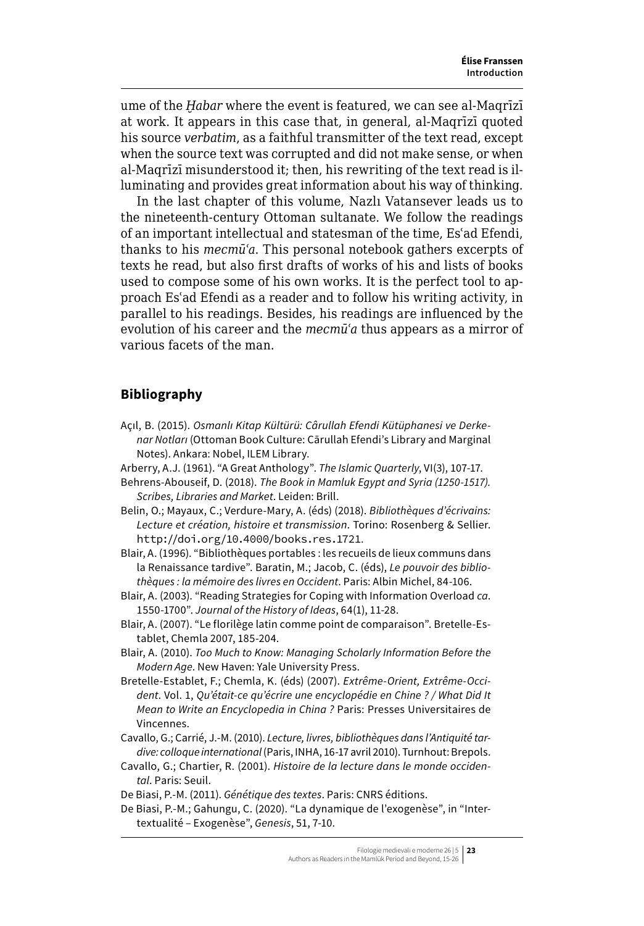ume of the *Ḫabar* where the event is featured, we can see al-Maqrīzī at work. It appears in this case that, in general, al-Maqrīzī quoted his source *verbatim*, as a faithful transmitter of the text read, except when the source text was corrupted and did not make sense, or when al-Maqrīzī misunderstood it; then, his rewriting of the text read is illuminating and provides great information about his way of thinking.

In the last chapter of this volume, Nazlı Vatansever leads us to the nineteenth-century Ottoman sultanate. We follow the readings of an important intellectual and statesman of the time, Esʿad Efendi, thanks to his *mecmūʿa*. This personal notebook gathers excerpts of texts he read, but also first drafts of works of his and lists of books used to compose some of his own works. It is the perfect tool to approach Esʿad Efendi as a reader and to follow his writing activity, in parallel to his readings. Besides, his readings are influenced by the evolution of his career and the *mecmūʿa* thus appears as a mirror of various facets of the man.

## **Bibliography**

- Açıl, B. (2015). *Osmanlı Kitap Kültürü: Cârullah Efendi Kütüphanesi ve Derkenar Notları* (Ottoman Book Culture: Cārullah Efendi's Library and Marginal Notes). Ankara: Nobel, ILEM Library.
- Arberry, A.J. (1961). "A Great Anthology". *The Islamic Quarterly*, VI(3), 107-17.
- Behrens-Abouseif, D. (2018). *The Book in Mamluk Egypt and Syria (1250-1517). Scribes, Libraries and Market*. Leiden: Brill.
- Belin, O.; Mayaux, C.; Verdure-Mary, A. (éds) (2018). *Bibliothèques d'écrivains: Lecture et création, histoire et transmission*. Torino: Rosenberg & Sellier. <http://doi.org/10.4000/books.res.1721>.
- Blair, A. (1996). "Bibliothèques portables : les recueils de lieux communs dans la Renaissance tardive". Baratin, M.; Jacob, C. (éds), *Le pouvoir des bibliothèques : la mémoire des livres en Occident*. Paris: Albin Michel, 84-106.
- Blair, A. (2003). "Reading Strategies for Coping with Information Overload *ca*. 1550-1700". *Journal of the History of Ideas*, 64(1), 11-28.
- Blair, A. (2007). "Le florilège latin comme point de comparaison". Bretelle-Establet, Chemla 2007, 185-204.
- Blair, A. (2010). *Too Much to Know: Managing Scholarly Information Before the Modern Age*. New Haven: Yale University Press.
- Bretelle-Establet, F.; Chemla, K. (éds) (2007). *Extrême-Orient, Extrême-Occident*. Vol. 1, *Qu'était-ce qu'écrire une encyclopédie en Chine ? / What Did It Mean to Write an Encyclopedia in China ?* Paris: Presses Universitaires de Vincennes.
- Cavallo, G.; Carrié, J.-M. (2010). *Lecture, livres, bibliothèques dans l'Antiquité tardive: colloque international* (Paris, INHA, 16-17 avril 2010). Turnhout: Brepols.
- Cavallo, G.; Chartier, R. (2001). *Histoire de la lecture dans le monde occidental*. Paris: Seuil.
- De Biasi, P.-M. (2011). *Génétique des textes*. Paris: CNRS éditions.
- De Biasi, P.-M.; Gahungu, C. (2020). "La dynamique de l'exogenèse", in "Intertextualité – Exogenèse", *Genesis*, 51, 7-10.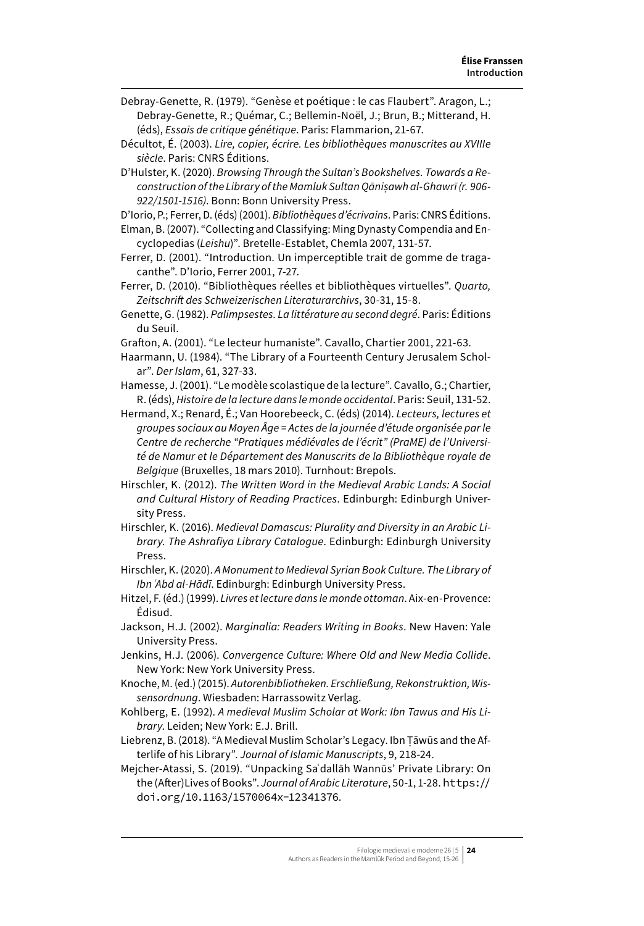- Debray-Genette, R. (1979). "Genèse et poétique : le cas Flaubert". Aragon, L.; Debray-Genette, R.; Quémar, C.; Bellemin-Noël, J.; Brun, B.; Mitterand, H. (éds), *Essais de critique génétique*. Paris: Flammarion, 21-67.
- Décultot, É. (2003). *Lire, copier, écrire. Les bibliothèques manuscrites au XVIIIe siècle*. Paris: CNRS Éditions.
- D'Hulster, K. (2020). *Browsing Through the Sultan's Bookshelves. Towards a Reconstruction of the Library of the Mamluk Sultan Qāniṣawh al-Ghawrī (r. 906- 922/1501-1516)*. Bonn: Bonn University Press.

D'Iorio, P.; Ferrer, D. (éds) (2001). *Bibliothèques d'écrivains*. Paris: CNRS Éditions.

- Elman, B. (2007). "Collecting and Classifying: Ming Dynasty Compendia and Encyclopedias (*Leishu*)". Bretelle-Establet, Chemla 2007, 131-57.
- Ferrer, D. (2001). "Introduction. Un imperceptible trait de gomme de tragacanthe". D'Iorio, Ferrer 2001, 7-27.
- Ferrer, D. (2010). "Bibliothèques réelles et bibliothèques virtuelles". *Quarto, Zeitschrift des Schweizerischen Literaturarchivs*, 30-31, 15-8.
- Genette, G. (1982). *Palimpsestes. La littérature au second degré*. Paris: Éditions du Seuil.
- Grafton, A. (2001). "Le lecteur humaniste". Cavallo, Chartier 2001, 221-63.
- Haarmann, U. (1984). "The Library of a Fourteenth Century Jerusalem Scholar". *Der Islam*, 61, 327-33.
- Hamesse, J. (2001). "Le modèle scolastique de la lecture". Cavallo, G.; Chartier, R. (éds), *Histoire de la lecture dans le monde occidental*. Paris: Seuil, 131-52.
- Hermand, X.; Renard, É.; Van Hoorebeeck, C. (éds) (2014). *Lecteurs, lectures et groupes sociaux au Moyen Âge = Actes de la journée d'étude organisée par le Centre de recherche "Pratiques médiévales de l'écrit" (PraME) de l'Université de Namur et le Département des Manuscrits de la Bibliothèque royale de Belgique* (Bruxelles, 18 mars 2010). Turnhout: Brepols.
- Hirschler, K. (2012). *The Written Word in the Medieval Arabic Lands: A Social and Cultural History of Reading Practices*. Edinburgh: Edinburgh University Press.
- Hirschler, K. (2016). *Medieval Damascus: Plurality and Diversity in an Arabic Library. The Ashrafiya Library Catalogue*. Edinburgh: Edinburgh University Press.
- Hirschler, K. (2020). *A Monument to Medieval Syrian Book Culture. The Library of Ibn ʿAbd al-Hādī*. Edinburgh: Edinburgh University Press.
- Hitzel, F. (éd.) (1999). *Livres et lecture dans le monde ottoman*. Aix-en-Provence: Édisud.
- Jackson, H.J. (2002). *Marginalia: Readers Writing in Books*. New Haven: Yale University Press.
- Jenkins, H.J. (2006). *Convergence Culture: Where Old and New Media Collide*. New York: New York University Press.
- Knoche, M. (ed.) (2015). *Autorenbibliotheken. Erschließung, Rekonstruktion, Wissensordnung*. Wiesbaden: Harrassowitz Verlag.
- Kohlberg, E. (1992). *A medieval Muslim Scholar at Work: Ibn Tawus and His Library*. Leiden; New York: E.J. Brill.
- Liebrenz, B. (2018). "A Medieval Muslim Scholar's Legacy. Ibn Ṭāwūs and the Afterlife of his Library". *Journal of Islamic Manuscripts*, 9, 218-24.
- Mejcher-Atassi, S. (2019). "Unpacking Saʿdallāh Wannūs' Private Library: On the (After)Lives of Books". *Journal of Arabic Literature*, 50-1, 1-28. [https://](https://doi.org/10.1163/1570064x-12341376) [doi.org/10.1163/1570064x-12341376](https://doi.org/10.1163/1570064x-12341376).